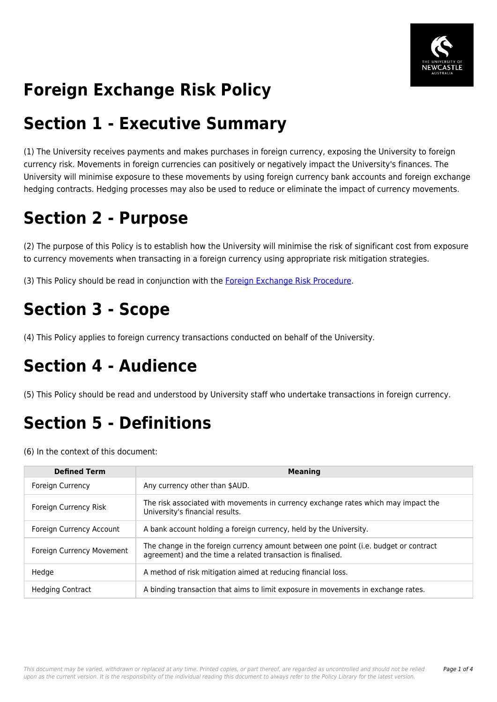

# **Foreign Exchange Risk Policy**

## **Section 1 - Executive Summary**

(1) The University receives payments and makes purchases in foreign currency, exposing the University to foreign currency risk. Movements in foreign currencies can positively or negatively impact the University's finances. The University will minimise exposure to these movements by using foreign currency bank accounts and foreign exchange hedging contracts. Hedging processes may also be used to reduce or eliminate the impact of currency movements.

# **Section 2 - Purpose**

(2) The purpose of this Policy is to establish how the University will minimise the risk of significant cost from exposure to currency movements when transacting in a foreign currency using appropriate risk mitigation strategies.

(3) This Policy should be read in conjunction with the [Foreign Exchange Risk Procedure.](https://policies.newcastle.edu.au/document/view-current.php?id=324)

## **Section 3 - Scope**

(4) This Policy applies to foreign currency transactions conducted on behalf of the University.

## **Section 4 - Audience**

(5) This Policy should be read and understood by University staff who undertake transactions in foreign currency.

# **Section 5 - Definitions**

(6) In the context of this document:

| <b>Defined Term</b>       | <b>Meaning</b>                                                                                                                                      |
|---------------------------|-----------------------------------------------------------------------------------------------------------------------------------------------------|
| <b>Foreign Currency</b>   | Any currency other than \$AUD.                                                                                                                      |
| Foreign Currency Risk     | The risk associated with movements in currency exchange rates which may impact the<br>University's financial results.                               |
| Foreign Currency Account  | A bank account holding a foreign currency, held by the University.                                                                                  |
| Foreign Currency Movement | The change in the foreign currency amount between one point (i.e. budget or contract<br>agreement) and the time a related transaction is finalised. |
| Hedge                     | A method of risk mitigation aimed at reducing financial loss.                                                                                       |
| <b>Hedging Contract</b>   | A binding transaction that aims to limit exposure in movements in exchange rates.                                                                   |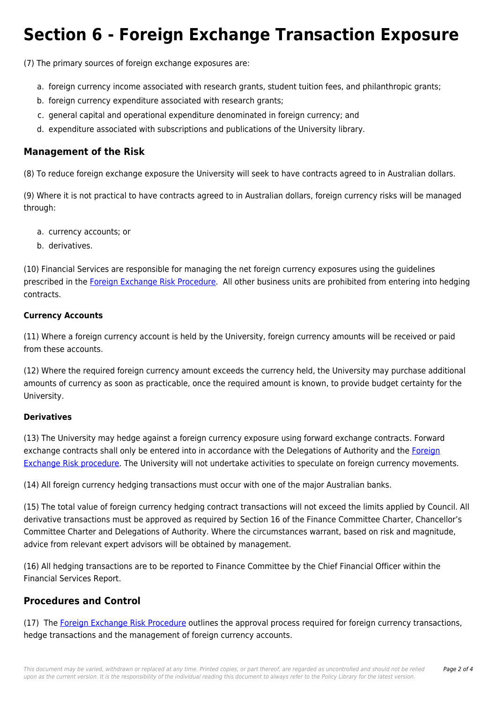## **Section 6 - Foreign Exchange Transaction Exposure**

(7) The primary sources of foreign exchange exposures are:

- a. foreign currency income associated with research grants, student tuition fees, and philanthropic grants;
- b. foreign currency expenditure associated with research grants;
- c. general capital and operational expenditure denominated in foreign currency; and
- d. expenditure associated with subscriptions and publications of the University library.

### **Management of the Risk**

(8) To reduce foreign exchange exposure the University will seek to have contracts agreed to in Australian dollars.

(9) Where it is not practical to have contracts agreed to in Australian dollars, foreign currency risks will be managed through:

- a. currency accounts; or
- b. derivatives.

(10) Financial Services are responsible for managing the net foreign currency exposures using the guidelines prescribed in the [Foreign Exchange Risk Procedure.](https://policies.newcastle.edu.au/document/view-current.php?id=324) All other business units are prohibited from entering into hedging contracts.

#### **Currency Accounts**

(11) Where a foreign currency account is held by the University, foreign currency amounts will be received or paid from these accounts.

(12) Where the required foreign currency amount exceeds the currency held, the University may purchase additional amounts of currency as soon as practicable, once the required amount is known, to provide budget certainty for the University.

#### **Derivatives**

(13) The University may hedge against a foreign currency exposure using forward exchange contracts. Forward exchange contracts shall only be entered into in accordance with the Delegations of Authority and the [Foreign](https://policies.newcastle.edu.au/document/view-current.php?id=324) [Exchange Risk procedure.](https://policies.newcastle.edu.au/document/view-current.php?id=324) The University will not undertake activities to speculate on foreign currency movements.

(14) All foreign currency hedging transactions must occur with one of the major Australian banks.

(15) The total value of foreign currency hedging contract transactions will not exceed the limits applied by Council. All derivative transactions must be approved as required by Section 16 of the Finance Committee Charter, Chancellor's Committee Charter and Delegations of Authority. Where the circumstances warrant, based on risk and magnitude, advice from relevant expert advisors will be obtained by management.

(16) All hedging transactions are to be reported to Finance Committee by the Chief Financial Officer within the Financial Services Report.

### **Procedures and Control**

(17) The [Foreign Exchange Risk Procedure](https://policies.newcastle.edu.au/document/view-current.php?id=324) outlines the approval process required for foreign currency transactions, hedge transactions and the management of foreign currency accounts.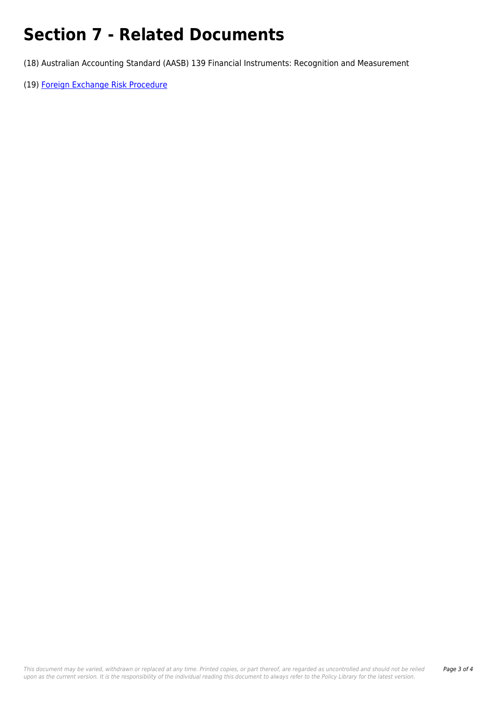# **Section 7 - Related Documents**

(18) Australian Accounting Standard (AASB) 139 Financial Instruments: Recognition and Measurement

(19) [Foreign Exchange Risk Procedure](https://policies.newcastle.edu.au/document/view-current.php?id=324)